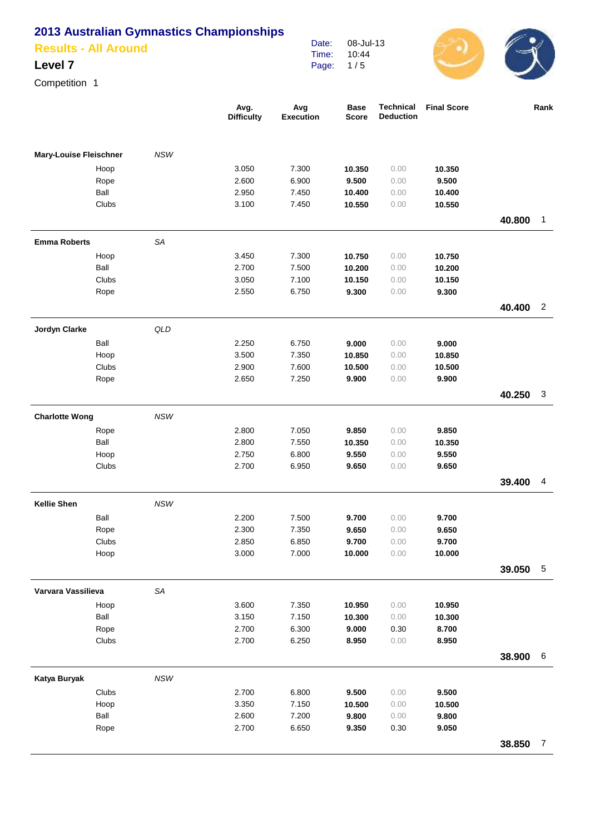| <b>Results - All Around</b> |  |
|-----------------------------|--|
|                             |  |

#### **Level 7**

Competition 1

|                               |               |            | Avg.<br><b>Difficulty</b> | Avg<br><b>Execution</b> | <b>Base</b><br><b>Score</b> | Technical<br><b>Deduction</b> | <b>Final Score</b> |        | Rank            |
|-------------------------------|---------------|------------|---------------------------|-------------------------|-----------------------------|-------------------------------|--------------------|--------|-----------------|
| <b>Mary-Louise Fleischner</b> |               | <b>NSW</b> |                           |                         |                             |                               |                    |        |                 |
|                               | Hoop          |            | 3.050                     | 7.300                   | 10.350                      | 0.00                          | 10.350             |        |                 |
|                               | Rope          |            | 2.600                     | 6.900                   | 9.500                       | 0.00                          | 9.500              |        |                 |
|                               | Ball          |            | 2.950                     | 7.450                   | 10.400                      | 0.00                          | 10.400             |        |                 |
|                               | Clubs         |            | 3.100                     | 7.450                   | 10.550                      | 0.00                          | 10.550             |        |                 |
|                               |               |            |                           |                         |                             |                               |                    | 40.800 | $\mathbf{1}$    |
| <b>Emma Roberts</b>           |               | SA         |                           |                         |                             |                               |                    |        |                 |
|                               | Hoop          |            | 3.450                     | 7.300                   | 10.750                      | 0.00                          | 10.750             |        |                 |
|                               | Ball          |            | 2.700                     | 7.500                   | 10.200                      | 0.00                          | 10.200             |        |                 |
|                               | Clubs         |            | 3.050                     | 7.100                   | 10.150                      | 0.00                          | 10.150             |        |                 |
|                               | Rope          |            | 2.550                     | 6.750                   | 9.300                       | 0.00                          | 9.300              |        |                 |
|                               |               |            |                           |                         |                             |                               |                    | 40.400 | $\overline{2}$  |
| Jordyn Clarke                 |               | QLD        |                           |                         |                             |                               |                    |        |                 |
|                               | Ball          |            | 2.250                     | 6.750                   | 9.000                       | 0.00                          | 9.000              |        |                 |
|                               | Hoop          |            | 3.500                     | 7.350                   | 10.850                      | 0.00                          | 10.850             |        |                 |
|                               | Clubs         |            | 2.900                     | 7.600                   | 10.500                      | 0.00                          | 10.500             |        |                 |
|                               | Rope          |            | 2.650                     | 7.250                   | 9.900                       | 0.00                          | 9.900              |        |                 |
|                               |               |            |                           |                         |                             |                               |                    | 40.250 | 3               |
| <b>Charlotte Wong</b>         |               | <b>NSW</b> |                           |                         |                             |                               |                    |        |                 |
|                               | Rope          |            | 2.800                     | 7.050                   | 9.850                       | 0.00                          | 9.850              |        |                 |
|                               | Ball          |            | 2.800                     | 7.550                   | 10.350                      | 0.00                          | 10.350             |        |                 |
|                               | Hoop          |            | 2.750                     | 6.800                   | 9.550                       | 0.00                          | 9.550              |        |                 |
|                               | Clubs         |            | 2.700                     | 6.950                   | 9.650                       | 0.00                          | 9.650              | 39.400 | 4               |
|                               |               |            |                           |                         |                             |                               |                    |        |                 |
| <b>Kellie Shen</b>            |               | NSW        |                           |                         |                             |                               |                    |        |                 |
|                               | Ball          |            | 2.200<br>2.300            | 7.500<br>7.350          | 9.700<br>9.650              | 0.00<br>0.00                  | 9.700<br>9.650     |        |                 |
|                               | Rope<br>Clubs |            | 2.850                     | 6.850                   | 9.700                       | 0.00                          | 9.700              |        |                 |
|                               | Hoop          |            | 3.000                     | 7.000                   | 10.000                      | 0.00                          | 10.000             |        |                 |
|                               |               |            |                           |                         |                             |                               |                    | 39.050 | $5\phantom{.0}$ |
| Varvara Vassilieva            |               | SA         |                           |                         |                             |                               |                    |        |                 |
|                               | Hoop          |            | 3.600                     | 7.350                   | 10.950                      | 0.00                          | 10.950             |        |                 |
|                               | Ball          |            | 3.150                     | 7.150                   | 10.300                      | 0.00                          | 10.300             |        |                 |
|                               | Rope          |            | 2.700                     | 6.300                   | 9.000                       | 0.30                          | 8.700              |        |                 |
|                               | Clubs         |            | 2.700                     | 6.250                   | 8.950                       | 0.00                          | 8.950              |        |                 |
|                               |               |            |                           |                         |                             |                               |                    | 38.900 | $\,6$           |
| Katya Buryak                  |               | NSW        |                           |                         |                             |                               |                    |        |                 |
|                               | Clubs         |            | 2.700                     | 6.800                   | 9.500                       | 0.00                          | 9.500              |        |                 |
|                               | Hoop          |            | 3.350                     | 7.150                   | 10.500                      | 0.00                          | 10.500             |        |                 |
|                               | Ball          |            | 2.600                     | 7.200                   | 9.800                       | 0.00                          | 9.800              |        |                 |
|                               | Rope          |            | 2.700                     | 6.650                   | 9.350                       | 0.30                          | 9.050              |        |                 |
|                               |               |            |                           |                         |                             |                               |                    | 38.850 | $\overline{7}$  |

Date: Time: Page: 08-Jul-13 10:44 1 / 5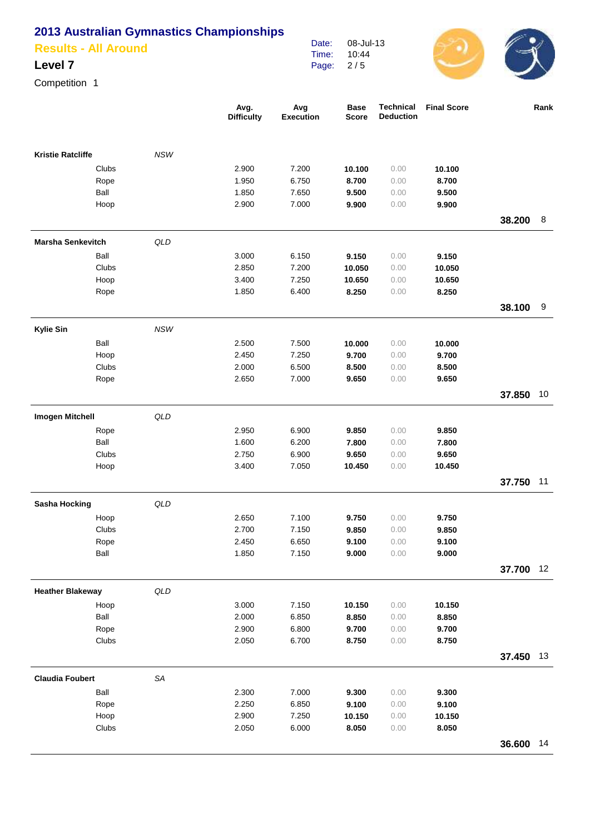**Results - All Around**

### **Level 7**

Competition 1

|                          |       |                | Avg.<br><b>Difficulty</b> | Avg<br><b>Execution</b> | <b>Base</b><br><b>Score</b> | <b>Technical</b><br><b>Deduction</b> | <b>Final Score</b> |           | Rank |
|--------------------------|-------|----------------|---------------------------|-------------------------|-----------------------------|--------------------------------------|--------------------|-----------|------|
| <b>Kristie Ratcliffe</b> |       | <b>NSW</b>     |                           |                         |                             |                                      |                    |           |      |
|                          | Clubs |                | 2.900                     | 7.200                   | 10.100                      | 0.00                                 | 10.100             |           |      |
|                          | Rope  |                | 1.950                     | 6.750                   | 8.700                       | 0.00                                 | 8.700              |           |      |
|                          | Ball  |                | 1.850                     | 7.650                   | 9.500                       | 0.00                                 | 9.500              |           |      |
|                          | Hoop  |                | 2.900                     | 7.000                   | 9.900                       | 0.00                                 | 9.900              |           |      |
|                          |       |                |                           |                         |                             |                                      |                    | 38.200    | 8    |
| <b>Marsha Senkevitch</b> |       | QLD            |                           |                         |                             |                                      |                    |           |      |
|                          | Ball  |                | 3.000                     | 6.150                   | 9.150                       | 0.00                                 | 9.150              |           |      |
|                          | Clubs |                | 2.850                     | 7.200                   | 10.050                      | 0.00                                 | 10.050             |           |      |
|                          | Hoop  |                | 3.400                     | 7.250                   | 10.650                      | 0.00                                 | 10.650             |           |      |
|                          | Rope  |                | 1.850                     | 6.400                   | 8.250                       | 0.00                                 | 8.250              |           |      |
|                          |       |                |                           |                         |                             |                                      |                    | 38.100    | 9    |
| <b>Kylie Sin</b>         |       | <b>NSW</b>     |                           |                         |                             |                                      |                    |           |      |
|                          | Ball  |                | 2.500                     | 7.500                   | 10.000                      | 0.00                                 | 10.000             |           |      |
|                          | Hoop  |                | 2.450                     | 7.250                   | 9.700                       | 0.00                                 | 9.700              |           |      |
|                          | Clubs |                | 2.000                     | 6.500                   | 8.500                       | 0.00                                 | 8.500              |           |      |
|                          | Rope  |                | 2.650                     | 7.000                   | 9.650                       | 0.00                                 | 9.650              |           |      |
|                          |       |                |                           |                         |                             |                                      |                    | 37.850    | 10   |
| <b>Imogen Mitchell</b>   |       | QLD            |                           |                         |                             |                                      |                    |           |      |
|                          | Rope  |                | 2.950                     | 6.900                   | 9.850                       | 0.00                                 | 9.850              |           |      |
|                          | Ball  |                | 1.600                     | 6.200                   | 7.800                       | 0.00                                 | 7.800              |           |      |
|                          | Clubs |                | 2.750                     | 6.900                   | 9.650                       | 0.00                                 | 9.650              |           |      |
|                          | Hoop  |                | 3.400                     | 7.050                   | 10.450                      | 0.00                                 | 10.450             |           |      |
|                          |       |                |                           |                         |                             |                                      |                    | 37.750    | 11   |
| <b>Sasha Hocking</b>     |       | QLD            |                           |                         |                             |                                      |                    |           |      |
|                          | Hoop  |                | 2.650                     | 7.100                   | 9.750                       | 0.00                                 | 9.750              |           |      |
|                          | Clubs |                | 2.700                     | 7.150                   | 9.850                       | 0.00                                 | 9.850              |           |      |
|                          | Rope  |                | 2.450                     | 6.650                   | 9.100                       | 0.00                                 | 9.100              |           |      |
|                          | Ball  |                | 1.850                     | 7.150                   | 9.000                       | 0.00                                 | 9.000              |           |      |
|                          |       |                |                           |                         |                             |                                      |                    | 37.700    | 12   |
| <b>Heather Blakeway</b>  |       | $\mathsf{QLD}$ |                           |                         |                             |                                      |                    |           |      |
|                          | Hoop  |                | 3.000                     | 7.150                   | 10.150                      | 0.00                                 | 10.150             |           |      |
|                          | Ball  |                | 2.000                     | 6.850                   | 8.850                       | 0.00                                 | 8.850              |           |      |
|                          | Rope  |                | 2.900                     | 6.800                   | 9.700                       | 0.00                                 | 9.700              |           |      |
|                          | Clubs |                | 2.050                     | 6.700                   | 8.750                       | 0.00                                 | 8.750              |           |      |
|                          |       |                |                           |                         |                             |                                      |                    | 37.450    | 13   |
| <b>Claudia Foubert</b>   |       | SA             |                           |                         |                             |                                      |                    |           |      |
|                          | Ball  |                | 2.300                     | 7.000                   | 9.300                       | 0.00                                 | 9.300              |           |      |
|                          | Rope  |                | 2.250                     | 6.850                   | 9.100                       | 0.00                                 | 9.100              |           |      |
|                          | Hoop  |                | 2.900                     | 7.250                   | 10.150                      | 0.00                                 | 10.150             |           |      |
|                          | Clubs |                | 2.050                     | 6.000                   | 8.050                       | 0.00                                 | 8.050              |           |      |
|                          |       |                |                           |                         |                             |                                      |                    | 36.600 14 |      |

Date: Time: Page: 08-Jul-13 10:44 2 / 5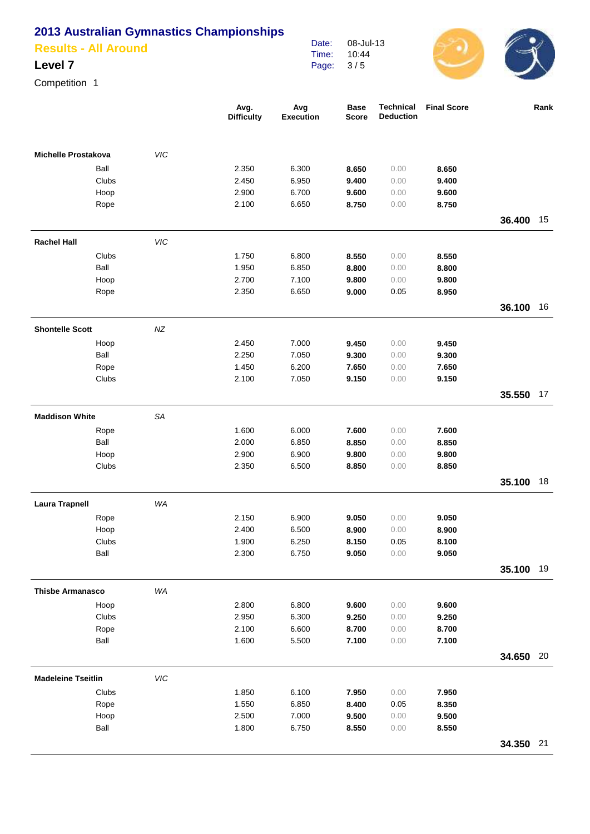**Results - All Around**

### **Level 7**

Competition 1

|                            |           | Avg.<br><b>Difficulty</b> | Avg<br><b>Execution</b> | <b>Base</b><br><b>Score</b> | <b>Technical</b><br><b>Deduction</b> | <b>Final Score</b> |           | Rank |
|----------------------------|-----------|---------------------------|-------------------------|-----------------------------|--------------------------------------|--------------------|-----------|------|
| <b>Michelle Prostakova</b> | VIC       |                           |                         |                             |                                      |                    |           |      |
| Ball                       |           | 2.350                     | 6.300                   | 8.650                       | 0.00                                 | 8.650              |           |      |
| Clubs                      |           | 2.450                     | 6.950                   | 9.400                       | 0.00                                 | 9.400              |           |      |
| Hoop                       |           | 2.900                     | 6.700                   | 9.600                       | 0.00                                 | 9.600              |           |      |
| Rope                       |           | 2.100                     | 6.650                   | 8.750                       | 0.00                                 | 8.750              |           |      |
|                            |           |                           |                         |                             |                                      |                    | 36.400    | 15   |
| <b>Rachel Hall</b>         | VIC       |                           |                         |                             |                                      |                    |           |      |
| Clubs                      |           | 1.750                     | 6.800                   | 8.550                       | 0.00                                 | 8.550              |           |      |
| Ball                       |           | 1.950                     | 6.850                   | 8.800                       | 0.00                                 | 8.800              |           |      |
| Hoop                       |           | 2.700                     | 7.100                   | 9.800                       | 0.00                                 | 9.800              |           |      |
| Rope                       |           | 2.350                     | 6.650                   | 9.000                       | 0.05                                 | 8.950              |           |      |
|                            |           |                           |                         |                             |                                      |                    | 36.100    | 16   |
| <b>Shontelle Scott</b>     | NZ        |                           |                         |                             |                                      |                    |           |      |
| Hoop                       |           | 2.450                     | 7.000                   | 9.450                       | 0.00                                 | 9.450              |           |      |
| Ball                       |           | 2.250                     | 7.050                   | 9.300                       | 0.00                                 | 9.300              |           |      |
| Rope                       |           | 1.450                     | 6.200                   | 7.650                       | 0.00                                 | 7.650              |           |      |
| Clubs                      |           | 2.100                     | 7.050                   | 9.150                       | 0.00                                 | 9.150              |           |      |
|                            |           |                           |                         |                             |                                      |                    | 35.550    | 17   |
| <b>Maddison White</b>      | <b>SA</b> |                           |                         |                             |                                      |                    |           |      |
| Rope                       |           | 1.600                     | 6.000                   | 7.600                       | 0.00                                 | 7.600              |           |      |
| Ball                       |           | 2.000                     | 6.850                   | 8.850                       | 0.00                                 | 8.850              |           |      |
| Hoop                       |           | 2.900                     | 6.900                   | 9.800                       | 0.00                                 | 9.800              |           |      |
| Clubs                      |           | 2.350                     | 6.500                   | 8.850                       | 0.00                                 | 8.850              |           |      |
|                            |           |                           |                         |                             |                                      |                    | 35.100    | 18   |
| <b>Laura Trapnell</b>      | WA        |                           |                         |                             |                                      |                    |           |      |
| Rope                       |           | 2.150                     | 6.900                   | 9.050                       | 0.00                                 | 9.050              |           |      |
| Hoop<br>Clubs              |           | 2.400<br>1.900            | 6.500<br>6.250          | 8.900<br>8.150              | 0.00<br>0.05                         | 8.900<br>8.100     |           |      |
| Ball                       |           | 2.300                     | 6.750                   | 9.050                       | 0.00                                 | 9.050              |           |      |
|                            |           |                           |                         |                             |                                      |                    | 35.100    | 19   |
| <b>Thisbe Armanasco</b>    |           |                           |                         |                             |                                      |                    |           |      |
|                            | WA        |                           |                         |                             |                                      |                    |           |      |
| Hoop<br>Clubs              |           | 2.800<br>2.950            | 6.800<br>6.300          | 9.600                       | 0.00<br>0.00                         | 9.600              |           |      |
| Rope                       |           | 2.100                     | 6.600                   | 9.250<br>8.700              | 0.00                                 | 9.250<br>8.700     |           |      |
| Ball                       |           | 1.600                     | 5.500                   | 7.100                       | 0.00                                 | 7.100              |           |      |
|                            |           |                           |                         |                             |                                      |                    | 34.650 20 |      |
| <b>Madeleine Tseitlin</b>  | VIC       |                           |                         |                             |                                      |                    |           |      |
| Clubs                      |           | 1.850                     | 6.100                   | 7.950                       | 0.00                                 | 7.950              |           |      |
| Rope                       |           | 1.550                     | 6.850                   | 8.400                       | 0.05                                 | 8.350              |           |      |
| Hoop                       |           | 2.500                     | 7.000                   | 9.500                       | 0.00                                 | 9.500              |           |      |
| Ball                       |           | 1.800                     | 6.750                   | 8.550                       | 0.00                                 | 8.550              |           |      |
|                            |           |                           |                         |                             |                                      |                    | 34.350 21 |      |
|                            |           |                           |                         |                             |                                      |                    |           |      |

Date: Time: Page: 08-Jul-13 10:44 3 / 5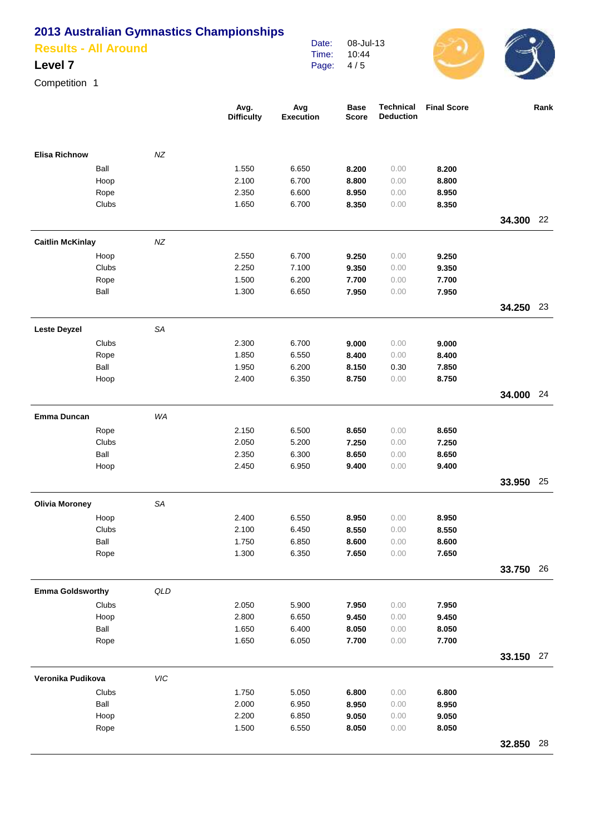**Results - All Around**

### **Level 7**

Competition 1

|                         |               |           | Avg.<br><b>Difficulty</b> | Avg<br><b>Execution</b> | <b>Base</b><br><b>Score</b> | <b>Technical</b><br><b>Deduction</b> | <b>Final Score</b> |           | Rank |
|-------------------------|---------------|-----------|---------------------------|-------------------------|-----------------------------|--------------------------------------|--------------------|-----------|------|
| <b>Elisa Richnow</b>    |               | $N\!Z$    |                           |                         |                             |                                      |                    |           |      |
|                         | Ball          |           | 1.550                     | 6.650                   | 8.200                       | 0.00                                 | 8.200              |           |      |
|                         | Hoop          |           | 2.100                     | 6.700                   | 8.800                       | 0.00                                 | 8.800              |           |      |
|                         | Rope          |           | 2.350                     | 6.600                   | 8.950                       | 0.00                                 | 8.950              |           |      |
|                         | Clubs         |           | 1.650                     | 6.700                   | 8.350                       | 0.00                                 | 8.350              |           |      |
|                         |               |           |                           |                         |                             |                                      |                    | 34.300    | 22   |
| <b>Caitlin McKinlay</b> |               | $N\!Z$    |                           |                         |                             |                                      |                    |           |      |
|                         | Hoop          |           | 2.550                     | 6.700                   | 9.250                       | 0.00                                 | 9.250              |           |      |
|                         | Clubs         |           | 2.250                     | 7.100                   | 9.350                       | 0.00                                 | 9.350              |           |      |
|                         | Rope          |           | 1.500                     | 6.200                   | 7.700                       | 0.00                                 | 7.700              |           |      |
|                         | Ball          |           | 1.300                     | 6.650                   | 7.950                       | 0.00                                 | 7.950              |           |      |
|                         |               |           |                           |                         |                             |                                      |                    | 34.250 23 |      |
| <b>Leste Deyzel</b>     |               | <b>SA</b> |                           |                         |                             |                                      |                    |           |      |
|                         | Clubs         |           | 2.300                     | 6.700                   | 9.000                       | 0.00                                 | 9.000              |           |      |
|                         | Rope          |           | 1.850                     | 6.550                   | 8.400                       | 0.00                                 | 8.400              |           |      |
|                         | Ball          |           | 1.950                     | 6.200                   | 8.150                       | 0.30                                 | 7.850              |           |      |
|                         | Hoop          |           | 2.400                     | 6.350                   | 8.750                       | 0.00                                 | 8.750              |           |      |
|                         |               |           |                           |                         |                             |                                      |                    | 34.000    | 24   |
| <b>Emma Duncan</b>      |               | WA        |                           |                         |                             |                                      |                    |           |      |
|                         | Rope          |           | 2.150                     | 6.500                   | 8.650                       | 0.00                                 | 8.650              |           |      |
|                         | Clubs         |           | 2.050                     | 5.200                   | 7.250                       | 0.00                                 | 7.250              |           |      |
|                         | Ball          |           | 2.350                     | 6.300                   | 8.650                       | 0.00                                 | 8.650              |           |      |
|                         | Hoop          |           | 2.450                     | 6.950                   | 9.400                       | 0.00                                 | 9.400              |           |      |
|                         |               |           |                           |                         |                             |                                      |                    | 33.950    | 25   |
| <b>Olivia Moroney</b>   |               | <b>SA</b> |                           |                         |                             |                                      |                    |           |      |
|                         | Hoop          |           | 2.400                     | 6.550                   | 8.950                       | 0.00                                 | 8.950              |           |      |
|                         | Clubs<br>Ball |           | 2.100<br>1.750            | 6.450<br>6.850          | 8.550<br>8.600              | 0.00<br>0.00                         | 8.550<br>8.600     |           |      |
|                         | Rope          |           | 1.300                     | 6.350                   | 7.650                       | 0.00                                 | 7.650              |           |      |
|                         |               |           |                           |                         |                             |                                      |                    | 33.750 26 |      |
|                         |               |           |                           |                         |                             |                                      |                    |           |      |
| <b>Emma Goldsworthy</b> |               | QLD       |                           |                         |                             |                                      |                    |           |      |
|                         | Clubs         |           | 2.050<br>2.800            | 5.900<br>6.650          | 7.950                       | 0.00<br>0.00                         | 7.950              |           |      |
|                         | Hoop<br>Ball  |           | 1.650                     | 6.400                   | 9.450<br>8.050              | 0.00                                 | 9.450<br>8.050     |           |      |
|                         | Rope          |           | 1.650                     | 6.050                   | 7.700                       | 0.00                                 | 7.700              |           |      |
|                         |               |           |                           |                         |                             |                                      |                    | 33.150 27 |      |
| Veronika Pudikova       |               | VIC       |                           |                         |                             |                                      |                    |           |      |
|                         |               |           |                           |                         |                             |                                      |                    |           |      |
|                         | Clubs<br>Ball |           | 1.750<br>2.000            | 5.050<br>6.950          | 6.800<br>8.950              | 0.00                                 | 6.800              |           |      |
|                         | Hoop          |           | 2.200                     | 6.850                   | 9.050                       | 0.00<br>0.00                         | 8.950<br>9.050     |           |      |
|                         | Rope          |           | 1.500                     | 6.550                   | 8.050                       | 0.00                                 | 8.050              |           |      |
|                         |               |           |                           |                         |                             |                                      |                    | 32.850 28 |      |
|                         |               |           |                           |                         |                             |                                      |                    |           |      |

Date: Time: Page: 08-Jul-13 10:44 4 / 5